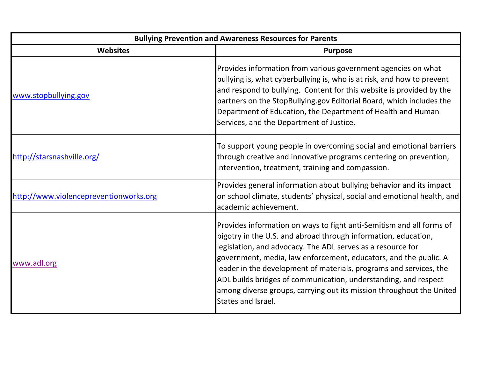| <b>Bullying Prevention and Awareness Resources for Parents</b> |                                                                                                                                                                                                                                                                                                                                                                                                                                                                                                                  |  |
|----------------------------------------------------------------|------------------------------------------------------------------------------------------------------------------------------------------------------------------------------------------------------------------------------------------------------------------------------------------------------------------------------------------------------------------------------------------------------------------------------------------------------------------------------------------------------------------|--|
| <b>Websites</b>                                                | <b>Purpose</b>                                                                                                                                                                                                                                                                                                                                                                                                                                                                                                   |  |
| www.stopbullying.gov                                           | Provides information from various government agencies on what<br>bullying is, what cyberbullying is, who is at risk, and how to prevent<br>and respond to bullying. Content for this website is provided by the<br>partners on the StopBullying.gov Editorial Board, which includes the<br>Department of Education, the Department of Health and Human<br>Services, and the Department of Justice.                                                                                                               |  |
| http://starsnashville.org/                                     | To support young people in overcoming social and emotional barriers<br>through creative and innovative programs centering on prevention,<br>intervention, treatment, training and compassion.                                                                                                                                                                                                                                                                                                                    |  |
| http://www.violencepreventionworks.org                         | Provides general information about bullying behavior and its impact<br>on school climate, students' physical, social and emotional health, and<br>academic achievement.                                                                                                                                                                                                                                                                                                                                          |  |
| www.adl.org                                                    | Provides information on ways to fight anti-Semitism and all forms of<br>bigotry in the U.S. and abroad through information, education,<br>legislation, and advocacy. The ADL serves as a resource for<br>government, media, law enforcement, educators, and the public. A<br>leader in the development of materials, programs and services, the<br>ADL builds bridges of communication, understanding, and respect<br>among diverse groups, carrying out its mission throughout the United<br>States and Israel. |  |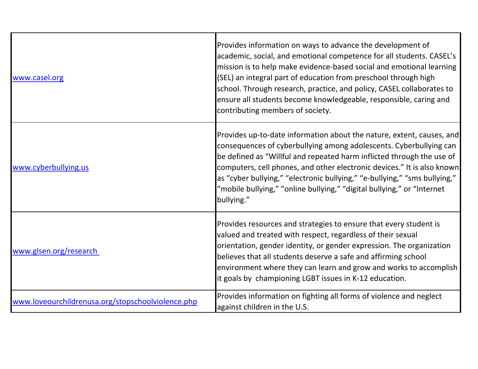| www.casel.org                                     | Provides information on ways to advance the development of<br>academic, social, and emotional competence for all students. CASEL's<br>mission is to help make evidence-based social and emotional learning<br>(SEL) an integral part of education from preschool through high<br>school. Through research, practice, and policy, CASEL collaborates to<br>ensure all students become knowledgeable, responsible, caring and<br>contributing members of society.       |
|---------------------------------------------------|-----------------------------------------------------------------------------------------------------------------------------------------------------------------------------------------------------------------------------------------------------------------------------------------------------------------------------------------------------------------------------------------------------------------------------------------------------------------------|
| www.cyberbullying.us                              | Provides up-to-date information about the nature, extent, causes, and<br>consequences of cyberbullying among adolescents. Cyberbullying can<br>be defined as "Willful and repeated harm inflicted through the use of<br>computers, cell phones, and other electronic devices." It is also known<br>as "cyber bullying," "electronic bullying," "e-bullying," "sms bullying,"<br>"mobile bullying," "online bullying," "digital bullying," or "Internet"<br>bullying." |
| www.glsen.org/research                            | Provides resources and strategies to ensure that every student is<br>valued and treated with respect, regardless of their sexual<br>orientation, gender identity, or gender expression. The organization<br>believes that all students deserve a safe and affirming school<br>environment where they can learn and grow and works to accomplish<br>it goals by championing LGBT issues in K-12 education.                                                             |
| www.loveourchildrenusa.org/stopschoolviolence.php | Provides information on fighting all forms of violence and neglect<br>against children in the U.S.                                                                                                                                                                                                                                                                                                                                                                    |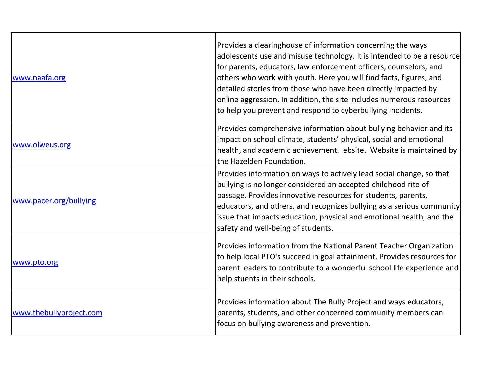| www.naafa.org           | Provides a clearinghouse of information concerning the ways<br>adolescents use and misuse technology. It is intended to be a resource<br>for parents, educators, law enforcement officers, counselors, and<br>others who work with youth. Here you will find facts, figures, and<br>detailed stories from those who have been directly impacted by<br>online aggression. In addition, the site includes numerous resources<br>to help you prevent and respond to cyberbullying incidents. |
|-------------------------|-------------------------------------------------------------------------------------------------------------------------------------------------------------------------------------------------------------------------------------------------------------------------------------------------------------------------------------------------------------------------------------------------------------------------------------------------------------------------------------------|
| www.olweus.org          | Provides comprehensive information about bullying behavior and its<br>impact on school climate, students' physical, social and emotional<br>health, and academic achievement. ebsite. Website is maintained by<br>the Hazelden Foundation.                                                                                                                                                                                                                                                |
| www.pacer.org/bullying  | Provides information on ways to actively lead social change, so that<br>bullying is no longer considered an accepted childhood rite of<br>passage. Provides innovative resources for students, parents,<br>educators, and others, and recognizes bullying as a serious community<br>issue that impacts education, physical and emotional health, and the<br>safety and well-being of students.                                                                                            |
| www.pto.org             | Provides information from the National Parent Teacher Organization<br>to help local PTO's succeed in goal attainment. Provides resources for<br>parent leaders to contribute to a wonderful school life experience and<br>help stuents in their schools.                                                                                                                                                                                                                                  |
| www.thebullyproject.com | Provides information about The Bully Project and ways educators,<br>parents, students, and other concerned community members can<br>focus on bullying awareness and prevention.                                                                                                                                                                                                                                                                                                           |